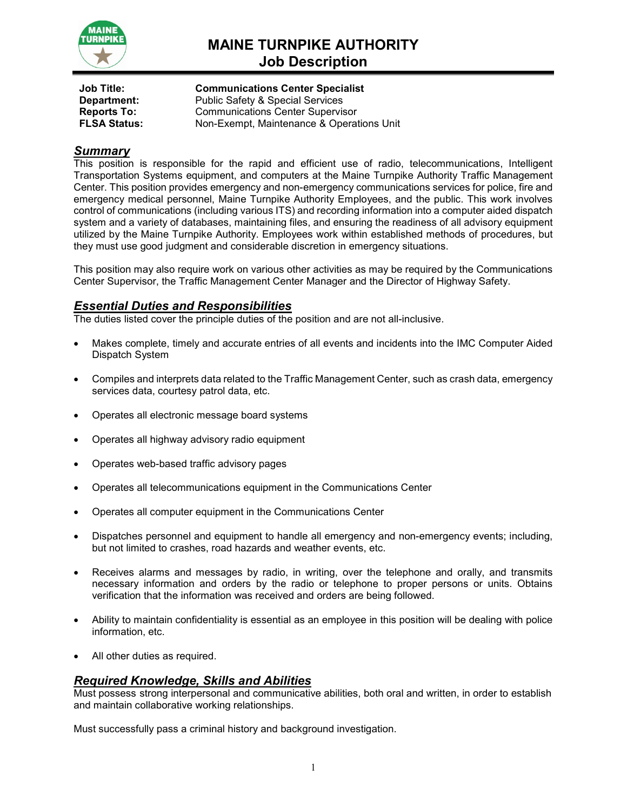

# **MAINE TURNPIKE AUTHORITY Job Description**

**Job Title: Communications Center Specialist Department:** Public Safety & Special Services<br> **Reports To:** Communications Center Supervis **Reports To:** Communications Center Supervisor<br> **FLSA Status:** Non-Exempt. Maintenance & Operat **FLSA Status:** Non-Exempt, Maintenance & Operations Unit

# *Summary*

This position is responsible for the rapid and efficient use of radio, telecommunications, Intelligent Transportation Systems equipment, and computers at the Maine Turnpike Authority Traffic Management Center. This position provides emergency and non-emergency communications services for police, fire and emergency medical personnel, Maine Turnpike Authority Employees, and the public. This work involves control of communications (including various ITS) and recording information into a computer aided dispatch system and a variety of databases, maintaining files, and ensuring the readiness of all advisory equipment utilized by the Maine Turnpike Authority. Employees work within established methods of procedures, but they must use good judgment and considerable discretion in emergency situations.

This position may also require work on various other activities as may be required by the Communications Center Supervisor, the Traffic Management Center Manager and the Director of Highway Safety.

# *Essential Duties and Responsibilities*

The duties listed cover the principle duties of the position and are not all-inclusive.

- Makes complete, timely and accurate entries of all events and incidents into the IMC Computer Aided Dispatch System
- Compiles and interprets data related to the Traffic Management Center, such as crash data, emergency services data, courtesy patrol data, etc.
- Operates all electronic message board systems
- Operates all highway advisory radio equipment
- Operates web-based traffic advisory pages
- Operates all telecommunications equipment in the Communications Center
- Operates all computer equipment in the Communications Center
- Dispatches personnel and equipment to handle all emergency and non-emergency events; including, but not limited to crashes, road hazards and weather events, etc.
- Receives alarms and messages by radio, in writing, over the telephone and orally, and transmits necessary information and orders by the radio or telephone to proper persons or units. Obtains verification that the information was received and orders are being followed.
- Ability to maintain confidentiality is essential as an employee in this position will be dealing with police information, etc.
- All other duties as required.

# *Required Knowledge, Skills and Abilities*

Must possess strong interpersonal and communicative abilities, both oral and written, in order to establish and maintain collaborative working relationships.

Must successfully pass a criminal history and background investigation.